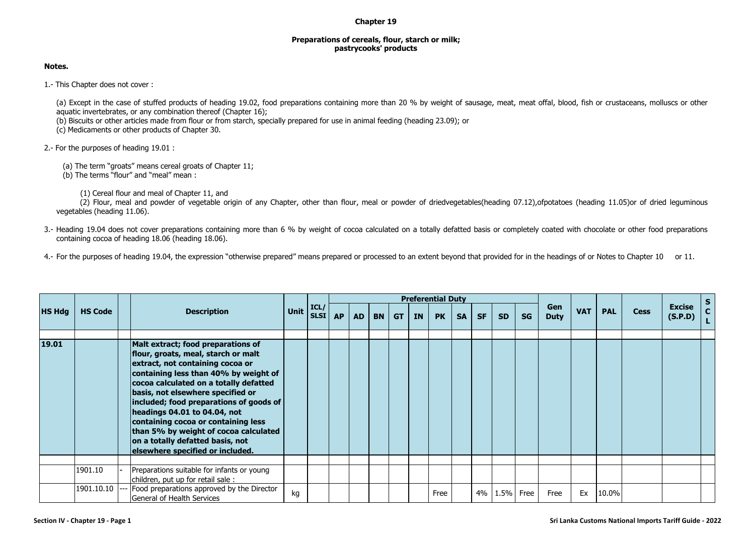## **Chapter 19**

## **Preparations of cereals, flour, starch or milk; pastrycooks' products**

## **Notes.**

1.- This Chapter does not cover :

(a) Except in the case of stuffed products of heading 19.02, food preparations containing more than 20 % by weight of sausage, meat, meat offal, blood, fish or crustaceans, molluscs or other aquatic invertebrates, or any combination thereof (Chapter 16);

(b) Biscuits or other articles made from flour or from starch, specially prepared for use in animal feeding (heading 23.09); or

(c) Medicaments or other products of Chapter 30.

2.- For the purposes of heading 19.01 :

(a) The term "groats" means cereal groats of Chapter 11;

(b) The terms "flour" and "meal" mean :

(1) Cereal flour and meal of Chapter 11, and

(2) Flour, meal and powder of vegetable origin of any Chapter, other than flour, meal or powder of driedvegetables(heading 07.12), ofpotatoes (heading 11.05)or of dried leguminous vegetables (heading 11.06).

3.- Heading 19.04 does not cover preparations containing more than 6 % by weight of cocoa calculated on a totally defatted basis or completely coated with chocolate or other food preparations containing cocoa of heading 18.06 (heading 18.06).

4.- For the purposes of heading 19.04, the expression "otherwise prepared" means prepared or processed to an extent beyond that provided for in the headings of or Notes to Chapter 10 or 11.

|               |                |                                                                                                                                                                                                                                                                                                                                                                                                                                                                          | <b>Description</b>                                                               |             |                     | <b>Preferential Duty</b> |           |           |           |           |           |    |           |           |           |                                  |            |             |                          |               |  |
|---------------|----------------|--------------------------------------------------------------------------------------------------------------------------------------------------------------------------------------------------------------------------------------------------------------------------------------------------------------------------------------------------------------------------------------------------------------------------------------------------------------------------|----------------------------------------------------------------------------------|-------------|---------------------|--------------------------|-----------|-----------|-----------|-----------|-----------|----|-----------|-----------|-----------|----------------------------------|------------|-------------|--------------------------|---------------|--|
| <b>HS Hdg</b> | <b>HS Code</b> |                                                                                                                                                                                                                                                                                                                                                                                                                                                                          |                                                                                  | <b>Unit</b> | ICL <br><b>SLSI</b> | <b>AP</b>                | <b>AD</b> | <b>BN</b> | <b>GT</b> | <b>IN</b> | <b>PK</b> | SA | <b>SF</b> | <b>SD</b> | <b>SG</b> | Gen<br><b>VAT</b><br><b>Duty</b> | <b>PAL</b> | <b>Cess</b> | <b>Excise</b><br>(S.P.D) | $\frac{S}{C}$ |  |
|               |                |                                                                                                                                                                                                                                                                                                                                                                                                                                                                          |                                                                                  |             |                     |                          |           |           |           |           |           |    |           |           |           |                                  |            |             |                          |               |  |
| 19.01         |                | Malt extract; food preparations of<br>flour, groats, meal, starch or malt<br>extract, not containing cocoa or<br>containing less than 40% by weight of<br>cocoa calculated on a totally defatted<br>basis, not elsewhere specified or<br>included; food preparations of goods of<br>headings 04.01 to 04.04, not<br>containing cocoa or containing less<br>than 5% by weight of cocoa calculated<br>on a totally defatted basis, not<br>elsewhere specified or included. |                                                                                  |             |                     |                          |           |           |           |           |           |    |           |           |           |                                  |            |             |                          |               |  |
|               |                |                                                                                                                                                                                                                                                                                                                                                                                                                                                                          |                                                                                  |             |                     |                          |           |           |           |           |           |    |           |           |           |                                  |            |             |                          |               |  |
|               | 1901.10        |                                                                                                                                                                                                                                                                                                                                                                                                                                                                          | Preparations suitable for infants or young<br>children, put up for retail sale : |             |                     |                          |           |           |           |           |           |    |           |           |           |                                  |            |             |                          |               |  |
|               | 1901.10.10     |                                                                                                                                                                                                                                                                                                                                                                                                                                                                          | Food preparations approved by the Director<br>General of Health Services         | kg          |                     |                          |           |           |           |           | Free      |    | 4%        | 1.5% Free |           | Free                             | Ex         | 10.0%       |                          |               |  |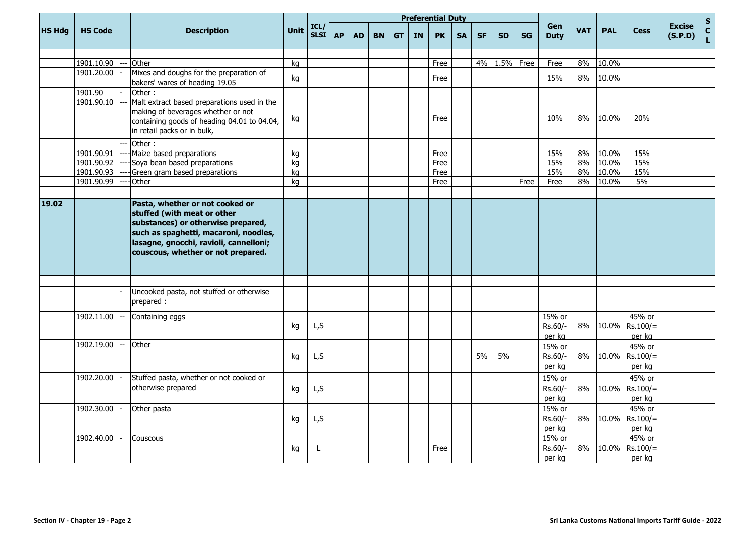|               |                |       |                                                                                                                                                                                                                               | <b>Unit</b> |                     |           |    |           |           |           | <b>Preferential Duty</b> |           |           |           |           |                                  |            |             |                                |                    | $\mathsf{s}$ |
|---------------|----------------|-------|-------------------------------------------------------------------------------------------------------------------------------------------------------------------------------------------------------------------------------|-------------|---------------------|-----------|----|-----------|-----------|-----------|--------------------------|-----------|-----------|-----------|-----------|----------------------------------|------------|-------------|--------------------------------|--------------------|--------------|
| <b>HS Hdg</b> | <b>HS Code</b> |       | <b>Description</b>                                                                                                                                                                                                            |             | ICL/<br><b>SLSI</b> | <b>AP</b> | AD | <b>BN</b> | <b>GT</b> | <b>IN</b> | <b>PK</b>                | <b>SA</b> | <b>SF</b> | <b>SD</b> | <b>SG</b> | Gen<br><b>VAT</b><br><b>Duty</b> | <b>PAL</b> | <b>Cess</b> | <b>Excise</b><br>(S.P.D)       | $\mathbf{c}$<br>L. |              |
|               |                |       |                                                                                                                                                                                                                               |             |                     |           |    |           |           |           |                          |           |           |           |           |                                  |            |             |                                |                    |              |
|               | 1901.10.90     |       | Other                                                                                                                                                                                                                         | kg          |                     |           |    |           |           |           | Free                     |           | 4%        | 1.5%      | Free      | Free                             | 8%         | 10.0%       |                                |                    |              |
|               | 1901.20.00     |       | Mixes and doughs for the preparation of<br>bakers' wares of heading 19.05                                                                                                                                                     | kg          |                     |           |    |           |           |           | Free                     |           |           |           |           | 15%                              | 8%         | 10.0%       |                                |                    |              |
|               | 1901.90        |       | Other:                                                                                                                                                                                                                        |             |                     |           |    |           |           |           |                          |           |           |           |           |                                  |            |             |                                |                    |              |
|               | 1901.90.10     |       | Malt extract based preparations used in the<br>making of beverages whether or not<br>containing goods of heading 04.01 to 04.04,<br>in retail packs or in bulk,                                                               | kg          |                     |           |    |           |           |           | Free                     |           |           |           |           | 10%                              | 8%         | 10.0%       | 20%                            |                    |              |
|               |                |       | Other:                                                                                                                                                                                                                        |             |                     |           |    |           |           |           |                          |           |           |           |           |                                  |            |             |                                |                    |              |
|               | 1901.90.91     |       | Maize based preparations                                                                                                                                                                                                      | kg          |                     |           |    |           |           |           | Free                     |           |           |           |           | 15%                              | 8%         | 10.0%       | 15%                            |                    |              |
|               | 1901.90.92     |       | Soya bean based preparations                                                                                                                                                                                                  | kg          |                     |           |    |           |           |           | Free                     |           |           |           |           | 15%                              | 8%         | 10.0%       | 15%                            |                    |              |
|               | 1901.90.93     |       | Green gram based preparations                                                                                                                                                                                                 | kg          |                     |           |    |           |           |           | Free                     |           |           |           |           | 15%                              | 8%         | 10.0%       | 15%                            |                    |              |
|               | 1901.90.99     |       | Other                                                                                                                                                                                                                         | kg          |                     |           |    |           |           |           | Free                     |           |           |           | Free      | Free                             | 8%         | 10.0%       | 5%                             |                    |              |
|               |                |       |                                                                                                                                                                                                                               |             |                     |           |    |           |           |           |                          |           |           |           |           |                                  |            |             |                                |                    |              |
| 19.02         |                |       | Pasta, whether or not cooked or<br>stuffed (with meat or other<br>substances) or otherwise prepared,<br>such as spaghetti, macaroni, noodles,<br>lasagne, gnocchi, ravioli, cannelloni;<br>couscous, whether or not prepared. |             |                     |           |    |           |           |           |                          |           |           |           |           |                                  |            |             |                                |                    |              |
|               |                |       |                                                                                                                                                                                                                               |             |                     |           |    |           |           |           |                          |           |           |           |           |                                  |            |             |                                |                    |              |
|               |                |       | Uncooked pasta, not stuffed or otherwise<br>prepared :                                                                                                                                                                        |             |                     |           |    |           |           |           |                          |           |           |           |           |                                  |            |             |                                |                    |              |
|               | 1902.11.00     |       | Containing eggs                                                                                                                                                                                                               | kg          | L, S                |           |    |           |           |           |                          |           |           |           |           | 15% or<br>Rs.60/-<br>per kg      | 8%         | 10.0%       | 45% or<br>$Rs.100/=$<br>per kg |                    |              |
|               | 1902.19.00     | $---$ | Other                                                                                                                                                                                                                         | kg          | L, S                |           |    |           |           |           |                          |           | 5%        | 5%        |           | 15% or<br>Rs.60/-<br>per kg      | 8%         | 10.0%       | 45% or<br>$Rs.100/=$<br>per kg |                    |              |
|               | 1902.20.00     |       | Stuffed pasta, whether or not cooked or<br>otherwise prepared                                                                                                                                                                 | kg          | L,S                 |           |    |           |           |           |                          |           |           |           |           | 15% or<br>Rs.60/-<br>per kg      | 8%         | 10.0%       | 45% or<br>$Rs.100/=$<br>per kg |                    |              |
|               | 1902.30.00     |       | Other pasta                                                                                                                                                                                                                   | kg          | L,S                 |           |    |           |           |           |                          |           |           |           |           | 15% or<br>Rs.60/-<br>per kg      | 8%         | 10.0%       | 45% or<br>$Rs.100/=$<br>per kg |                    |              |
|               | 1902.40.00     |       | Couscous                                                                                                                                                                                                                      | kg          | L                   |           |    |           |           |           | Free                     |           |           |           |           | 15% or<br>Rs.60/-<br>per kg      | 8%         | 10.0%       | 45% or<br>$Rs.100/=$<br>per kg |                    |              |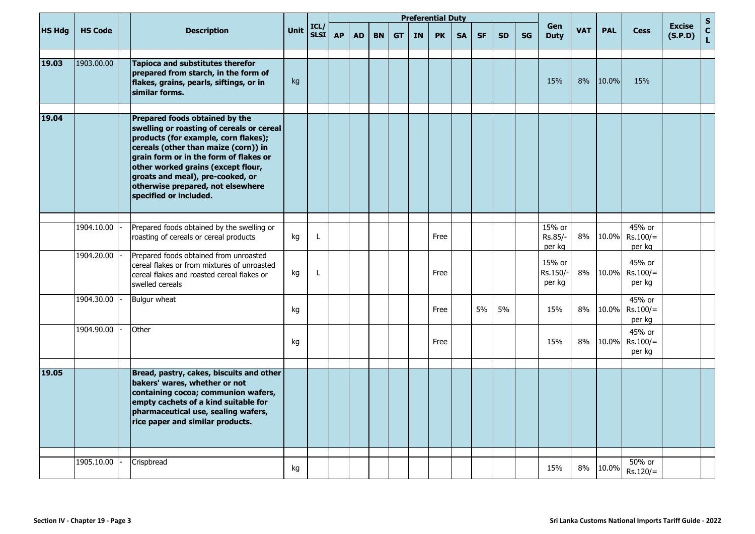|               |                |                                                                                                                                                                                                                                                                                                   |                                           |             |                     |           | <b>Preferential Duty</b> |           |           |    |           |           |           |           |           |                                        |            |             |                                          |                    | ${\sf s}$ |
|---------------|----------------|---------------------------------------------------------------------------------------------------------------------------------------------------------------------------------------------------------------------------------------------------------------------------------------------------|-------------------------------------------|-------------|---------------------|-----------|--------------------------|-----------|-----------|----|-----------|-----------|-----------|-----------|-----------|----------------------------------------|------------|-------------|------------------------------------------|--------------------|-----------|
| <b>HS Hdg</b> | <b>HS Code</b> |                                                                                                                                                                                                                                                                                                   | <b>Description</b>                        | <b>Unit</b> | ICL/<br><b>SLSI</b> | <b>AP</b> | <b>AD</b>                | <b>BN</b> | <b>GT</b> | IN | <b>PK</b> | <b>SA</b> | <b>SF</b> | <b>SD</b> | <b>SG</b> | Gen<br><b>VAT</b><br><b>Duty</b>       | <b>PAL</b> | <b>Cess</b> | <b>Excise</b><br>(S.P.D)                 | $\mathbf{C}$<br>L. |           |
| 19.03         | 1903.00.00     | <b>Tapioca and substitutes therefor</b><br>prepared from starch, in the form of<br>flakes, grains, pearls, siftings, or in<br>similar forms.                                                                                                                                                      |                                           | kg          |                     |           |                          |           |           |    |           |           |           |           |           | 15%                                    | 8%         | 10.0%       | 15%                                      |                    |           |
| 19.04         |                | Prepared foods obtained by the<br>products (for example, corn flakes);<br>cereals (other than maize (corn)) in<br>grain form or in the form of flakes or<br>other worked grains (except flour,<br>groats and meal), pre-cooked, or<br>otherwise prepared, not elsewhere<br>specified or included. | swelling or roasting of cereals or cereal |             |                     |           |                          |           |           |    |           |           |           |           |           |                                        |            |             |                                          |                    |           |
|               | 1904.10.00     | Prepared foods obtained by the swelling or<br>roasting of cereals or cereal products                                                                                                                                                                                                              |                                           | kg          | Г                   |           |                          |           |           |    | Free      |           |           |           |           | 15% or<br>Rs.85/-                      | 8%         | 10.0%       | 45% or<br>$Rs.100/=$                     |                    |           |
|               | 1904.20.00     | Prepared foods obtained from unroasted<br>cereal flakes or from mixtures of unroasted<br>cereal flakes and roasted cereal flakes or<br>swelled cereals                                                                                                                                            |                                           | kg          | L                   |           |                          |           |           |    | Free      |           |           |           |           | per kg<br>15% or<br>Rs.150/-<br>per kg | 8%         | 10.0%       | per kg<br>45% or<br>$Rs.100/=$<br>per kg |                    |           |
|               | 1904.30.00     | Bulgur wheat                                                                                                                                                                                                                                                                                      |                                           | kg          |                     |           |                          |           |           |    | Free      |           | 5%        | 5%        |           | 15%                                    | 8%         | 10.0%       | 45% or<br>$Rs.100/=$<br>per kg           |                    |           |
|               | 1904.90.00     | Other                                                                                                                                                                                                                                                                                             |                                           | kg          |                     |           |                          |           |           |    | Free      |           |           |           |           | 15%                                    | 8%         | 10.0%       | 45% or<br>$Rs.100/=$<br>per kg           |                    |           |
| 19.05         |                | Bread, pastry, cakes, biscuits and other<br>bakers' wares, whether or not<br>containing cocoa; communion wafers,<br>empty cachets of a kind suitable for<br>pharmaceutical use, sealing wafers,<br>rice paper and similar products.                                                               |                                           |             |                     |           |                          |           |           |    |           |           |           |           |           |                                        |            |             |                                          |                    |           |
|               | 1905.10.00     | Crispbread                                                                                                                                                                                                                                                                                        |                                           | kg          |                     |           |                          |           |           |    |           |           |           |           |           | 15%                                    | 8%         | 10.0%       | 50% or<br>$Rs.120/=$                     |                    |           |

per kg